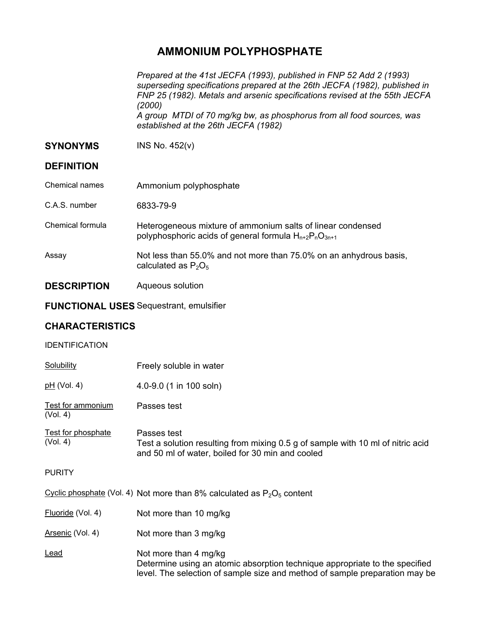## **AMMONIUM POLYPHOSPHATE**

*Prepared at the 41st JECFA (1993), published in FNP 52 Add 2 (1993) superseding specifications prepared at the 26th JECFA (1982), published in FNP 25 (1982). Metals and arsenic specifications revised at the 55th JECFA (2000) A group MTDI of 70 mg/kg bw, as phosphorus from all food sources, was established at the 26th JECFA (1982)* 

### **SYNONYMS** INS No. 452(v)

| <b>DEFINITION</b>  |                                                                                                                             |
|--------------------|-----------------------------------------------------------------------------------------------------------------------------|
| Chemical names     | Ammonium polyphosphate                                                                                                      |
| C.A.S. number      | 6833-79-9                                                                                                                   |
| Chemical formula   | Heterogeneous mixture of ammonium salts of linear condensed<br>polyphosphoric acids of general formula $H_{n+2}P_nO_{3n+1}$ |
| Assay              | Not less than 55.0% and not more than 75.0% on an anhydrous basis,<br>calculated as $P_2O_5$                                |
| <b>DESCRIPTION</b> | Aqueous solution                                                                                                            |

# **FUNCTIONAL USES** Sequestrant, emulsifier

## **CHARACTERISTICS**

#### **IDENTIFICATION**

| Solubility | Freely soluble in water |
|------------|-------------------------|
|            |                         |

| 4.0-9.0 (1 in 100 soln) |
|-------------------------|
|                         |

Test for ammonium (Vol. 4) Passes test

Test for phosphate (Vol. 4) Passes test Test a solution resulting from mixing 0.5 g of sample with 10 ml of nitric acid and 50 ml of water, boiled for 30 min and cooled

#### PURITY

Cyclic phosphate (Vol. 4) Not more than 8% calculated as  $P_2O_5$  content

- Fluoride (Vol. 4) Not more than 10 mg/kg
- Arsenic (Vol. 4) Not more than 3 mg/kg
- Lead **Not more than 4 mg/kg** Determine using an atomic absorption technique appropriate to the specified level. The selection of sample size and method of sample preparation may be